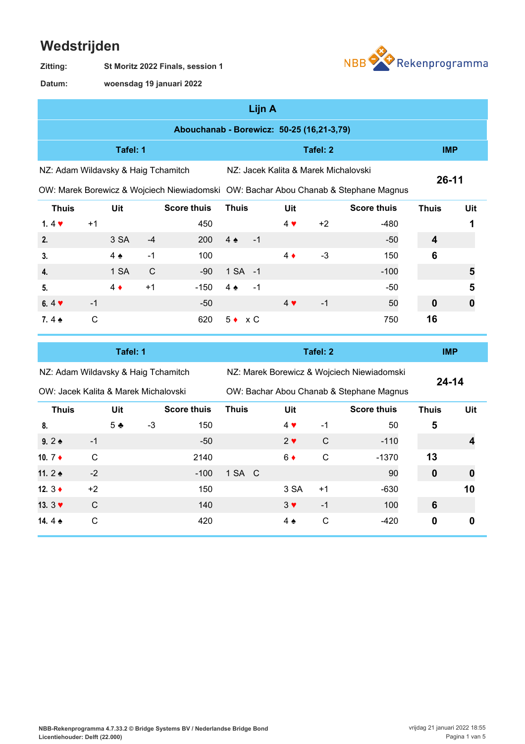## **Wedstrijden**



**St Moritz 2022 Finals, session 1 Zitting:**

**woensdag 19 januari 2022 Datum:**

| Lijn A                                    |     |                    |       |                                      |                                                                                     |              |     |  |  |  |  |
|-------------------------------------------|-----|--------------------|-------|--------------------------------------|-------------------------------------------------------------------------------------|--------------|-----|--|--|--|--|
| Abouchanab - Borewicz: 50-25 (16,21-3,79) |     |                    |       |                                      |                                                                                     |              |     |  |  |  |  |
| Tafel: 2<br>Tafel: 1                      |     |                    |       |                                      |                                                                                     |              |     |  |  |  |  |
| NZ: Adam Wildavsky & Haig Tchamitch       |     |                    |       | NZ: Jacek Kalita & Marek Michalovski |                                                                                     | $26 - 11$    |     |  |  |  |  |
|                                           |     |                    |       |                                      | OW: Marek Borewicz & Wojciech Niewiadomski OW: Bachar Abou Chanab & Stephane Magnus |              |     |  |  |  |  |
| <b>Thuis</b>                              | Uit | <b>Score thuis</b> | Thuis | Uit                                  | <b>Score thuis</b>                                                                  | <b>Thuis</b> | Uit |  |  |  |  |

| .                        |      |               |             |        |                |      |             |      |        | .        |   |
|--------------------------|------|---------------|-------------|--------|----------------|------|-------------|------|--------|----------|---|
| 1.4 $\blacktriangledown$ | $+1$ |               |             | 450    |                |      | $4 \vee$    | $+2$ | $-480$ |          |   |
| 2.                       |      | 3 SA          | $-4$        | 200    | $4 \triangle$  | $-1$ |             |      | $-50$  | 4        |   |
| 3.                       |      | $4 \triangle$ | -1          | 100    |                |      | $4 \bullet$ | $-3$ | 150    | 6        |   |
| 4.                       |      | 1 SA          | $\mathbf C$ | -90    | 1 SA -1        |      |             |      | $-100$ |          | 5 |
| 5.                       |      | $4 \bullet$   | $+1$        | $-150$ | $4 \cdot$      | - 1  |             |      | -50    |          | 5 |
| 6.4 $\blacktriangledown$ | $-1$ |               |             | $-50$  |                |      | $4 \vee$    | $-1$ | 50     | $\bf{0}$ | 0 |
| 7.4 $\triangle$          | C    |               |             | 620    | $5 \bullet xC$ |      |             |      | 750    | 16       |   |
|                          |      |               |             |        |                |      |             |      |        |          |   |

|                                      |      | Tafel: 1       |      |                    |              |  |               | <b>IMP</b> |                                            |              |     |
|--------------------------------------|------|----------------|------|--------------------|--------------|--|---------------|------------|--------------------------------------------|--------------|-----|
| NZ: Adam Wildavsky & Haig Tchamitch  |      |                |      |                    |              |  |               |            | NZ: Marek Borewicz & Wojciech Niewiadomski | $24 - 14$    |     |
| OW: Jacek Kalita & Marek Michalovski |      |                |      |                    |              |  |               |            | OW: Bachar Abou Chanab & Stephane Magnus   |              |     |
| <b>Thuis</b>                         |      | Uit            |      | <b>Score thuis</b> | <b>Thuis</b> |  | Uit           |            | <b>Score thuis</b>                         | <b>Thuis</b> | Uit |
| 8.                                   |      | 5 <sub>2</sub> | $-3$ | 150                |              |  | $4 \cdot$     | $-1$       | 50                                         | 5            |     |
| 9.2 $\bullet$                        | $-1$ |                |      | $-50$              |              |  | $2 \vee$      | C          | $-110$                                     |              | 4   |
| 10. $7 \div$                         | C    |                |      | 2140               |              |  | $6 \bullet$   | C          | $-1370$                                    | 13           |     |
| 11. $2 \triangle$                    | $-2$ |                |      | $-100$             | 1 SA C       |  |               |            | 90                                         | $\bf{0}$     | 0   |
| 12. $3 \triangleleft$                | $+2$ |                |      | 150                |              |  | 3 SA          | $+1$       | $-630$                                     |              | 10  |
| 13. $3 \blacktriangledown$           | C    |                |      | 140                |              |  | $3 \vee$      | $-1$       | 100                                        | 6            |     |
| 14.4 $\bullet$                       | С    |                |      | 420                |              |  | $4 \triangle$ | C          | $-420$                                     | 0            | 0   |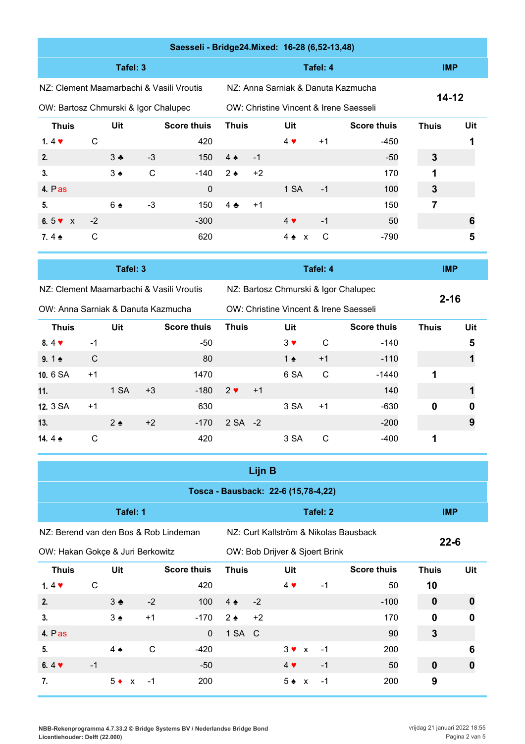|                                          | Saesseli - Bridge24.Mixed: 16-28 (6,52-13,48) |                   |      |                    |                   |      |                                        |          |                    |              |     |  |  |  |
|------------------------------------------|-----------------------------------------------|-------------------|------|--------------------|-------------------|------|----------------------------------------|----------|--------------------|--------------|-----|--|--|--|
|                                          |                                               | Tafel: 3          |      |                    |                   |      |                                        | Tafel: 4 |                    | <b>IMP</b>   |     |  |  |  |
| NZ: Clement Maamarbachi & Vasili Vroutis |                                               |                   |      |                    |                   |      | NZ: Anna Sarniak & Danuta Kazmucha     |          |                    |              |     |  |  |  |
| OW: Bartosz Chmurski & Igor Chalupec     |                                               |                   |      |                    |                   |      | OW: Christine Vincent & Irene Saesseli |          |                    | 14-12        |     |  |  |  |
| <b>Thuis</b>                             |                                               | Uit               |      | <b>Score thuis</b> | <b>Thuis</b>      |      | Uit                                    |          | <b>Score thuis</b> | <b>Thuis</b> | Uit |  |  |  |
| 1.4 $\blacktriangledown$                 | C                                             |                   |      | 420                |                   |      | $4 \cdot$                              | $+1$     | -450               |              |     |  |  |  |
| 2.                                       |                                               | $3 \cdot$         | $-3$ | 150                | $4 \triangle$     | $-1$ |                                        |          | $-50$              | 3            |     |  |  |  |
| 3.                                       |                                               | $3 \triangleleft$ | C    | -140               | $2 \triangleleft$ | $+2$ |                                        |          | 170                | 1            |     |  |  |  |
| 4. $P$ as                                |                                               |                   |      | $\mathbf 0$        |                   |      | 1 SA                                   | $-1$     | 100                | 3            |     |  |  |  |
| 5.                                       |                                               | $6 \triangle$     | $-3$ | 150                | $4 \bullet$       | $+1$ |                                        |          | 150                | 7            |     |  |  |  |
| 6.5 $\sqrt{x}$                           | $-2$                                          |                   |      | $-300$             |                   |      | $4 \vee$                               | $-1$     | 50                 |              | 6   |  |  |  |
| 7.4 $\bullet$                            | C                                             |                   |      | 620                |                   |      | $4 \bullet x$                          | C        | $-790$             |              | 5   |  |  |  |

|                                          |                           | Tafel: 3      |      |        |          |              |                                        | Tafel: 4     |                    | <b>IMP</b>   |     |
|------------------------------------------|---------------------------|---------------|------|--------|----------|--------------|----------------------------------------|--------------|--------------------|--------------|-----|
| NZ: Clement Maamarbachi & Vasili Vroutis |                           |               |      |        |          |              | NZ: Bartosz Chmurski & Igor Chalupec   |              |                    |              |     |
| OW: Anna Sarniak & Danuta Kazmucha       |                           |               |      |        |          |              | OW: Christine Vincent & Irene Saesseli |              |                    | $2 - 16$     |     |
| <b>Thuis</b>                             | <b>Score thuis</b><br>Uit |               |      |        |          | <b>Thuis</b> | Uit                                    |              | <b>Score thuis</b> | <b>Thuis</b> | Uit |
| $8.4 \cdot$                              | $-1$                      |               |      | -50    |          |              | $3 \vee$                               | C            | $-140$             |              | 5   |
| 9.1 $\bullet$                            | C                         |               |      | 80     |          |              | 1 $\bullet$                            | $+1$         | $-110$             |              |     |
| 10.6 SA                                  | $+1$                      |               |      | 1470   |          |              | 6 SA                                   | $\mathsf{C}$ | $-1440$            |              |     |
| 11.                                      |                           | 1 SA          | $+3$ | $-180$ | $2 \vee$ | $+1$         |                                        |              | 140                |              |     |
| 12. 3 SA                                 | $+1$                      |               |      | 630    |          |              | 3 SA                                   | $+1$         | $-630$             | 0            |     |
| 13.                                      |                           | $2 \triangle$ | $+2$ | $-170$ | 2 SA -2  |              |                                        |              | $-200$             |              | 9   |
| 14.4 $\bullet$                           | С                         |               |      | 420    |          |              | 3 SA                                   | C            | -400               |              |     |

| Lijn B                                |                                  |               |              |                    |                                           |      |                                |  |          |                                       |              |              |  |
|---------------------------------------|----------------------------------|---------------|--------------|--------------------|-------------------------------------------|------|--------------------------------|--|----------|---------------------------------------|--------------|--------------|--|
| Tosca - Bausback: 22-6 (15,78-4,22)   |                                  |               |              |                    |                                           |      |                                |  |          |                                       |              |              |  |
|                                       |                                  | Tafel: 1      |              |                    |                                           |      |                                |  | Tafel: 2 |                                       | <b>IMP</b>   |              |  |
| NZ: Berend van den Bos & Rob Lindeman |                                  |               |              |                    |                                           |      |                                |  |          | NZ: Curt Kallström & Nikolas Bausback | $22 - 6$     |              |  |
|                                       | OW: Hakan Gokçe & Juri Berkowitz |               |              |                    |                                           |      | OW: Bob Drijver & Sjoert Brink |  |          |                                       |              |              |  |
| <b>Thuis</b>                          |                                  | Uit           |              | <b>Score thuis</b> | <b>Thuis</b><br><b>Score thuis</b><br>Uit |      |                                |  |          | <b>Thuis</b>                          | Uit          |              |  |
| 1.4 $\blacktriangledown$              | $\mathsf{C}$                     |               |              | 420                |                                           |      | $4 \vee$                       |  | $-1$     | 50                                    | 10           |              |  |
| 2.                                    |                                  | $3 \bullet$   | $-2$         | 100                | $4 \triangle$                             | $-2$ |                                |  |          | $-100$                                | $\mathbf 0$  | 0            |  |
| 3.                                    |                                  | $3 \triangle$ | $+1$         | $-170$             | $2 \triangleleft$                         | $+2$ |                                |  |          | 170                                   | $\mathbf 0$  | $\mathbf{0}$ |  |
| 4. Pas                                |                                  |               |              | $\mathbf{0}$       | 1 SA C                                    |      |                                |  |          | 90                                    | $\mathbf{3}$ |              |  |
| 5.                                    |                                  | $4 \triangle$ | $\mathsf{C}$ | -420               |                                           |      | $3 \vee x$                     |  | $-1$     | 200                                   |              | 6            |  |
| 6.4 $\blacktriangledown$              | $-1$                             |               |              | $-50$              |                                           |      | $4 \cdot$                      |  | $-1$     | 50                                    | $\mathbf 0$  |              |  |
| 7.                                    |                                  | $5 \bullet x$ | $-1$         | 200                |                                           |      | $5 \div x$                     |  | $-1$     | 200                                   | 9            |              |  |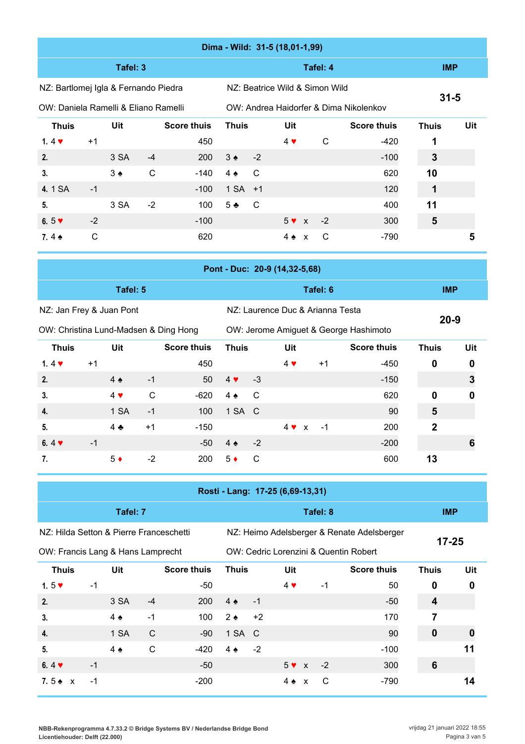|                                         | Dima - Wild: 31-5 (18,01-1,99) |                          |              |                    |                          |              |                                  |                                       |              |                                            |                         |              |  |
|-----------------------------------------|--------------------------------|--------------------------|--------------|--------------------|--------------------------|--------------|----------------------------------|---------------------------------------|--------------|--------------------------------------------|-------------------------|--------------|--|
|                                         |                                | Tafel: 3                 |              |                    |                          |              |                                  |                                       | Tafel: 4     |                                            | <b>IMP</b>              |              |  |
| NZ: Bartlomej Igla & Fernando Piedra    |                                |                          |              |                    |                          |              | NZ: Beatrice Wild & Simon Wild   |                                       |              |                                            |                         |              |  |
| OW: Daniela Ramelli & Eliano Ramelli    |                                |                          |              |                    |                          |              |                                  |                                       |              | OW: Andrea Haidorfer & Dima Nikolenkov     | $31 - 5$                |              |  |
| <b>Thuis</b>                            |                                | Uit                      |              | <b>Score thuis</b> | <b>Thuis</b>             |              | Uit                              |                                       |              | <b>Score thuis</b>                         | <b>Thuis</b>            | Uit          |  |
| 1.4 $\blacktriangledown$                | $+1$                           |                          |              | 450                |                          |              | $4$ $\blacktriangledown$         |                                       | $\mathsf{C}$ | $-420$                                     | 1                       |              |  |
| 2.                                      |                                | 3 SA                     | $-4$         | 200                | $3 \triangle$            | $-2$         |                                  |                                       |              | $-100$                                     | 3                       |              |  |
| 3.                                      |                                | $3 \triangle$            | $\mathsf{C}$ | $-140$             | $4 \triangle$            | $\mathsf C$  |                                  |                                       |              | 620                                        | 10                      |              |  |
| 4.1 SA                                  | $-1$                           |                          |              | $-100$             | 1 SA                     | $+1$         |                                  |                                       |              | 120                                        | 1                       |              |  |
| 5.                                      |                                | 3 SA                     | $-2$         | 100                | $5 -$                    | $\mathsf{C}$ |                                  |                                       |              | 400                                        | 11                      |              |  |
| 6.5 $\blacktriangledown$                | $-2$                           |                          |              | $-100$             |                          |              | $5 \vee x$                       |                                       | $-2$         | 300                                        | 5                       |              |  |
| 7.4 $\triangle$                         | $\mathbf C$                    |                          |              | 620                |                          |              | $4 \triangle x$                  |                                       | C            | $-790$                                     |                         | 5            |  |
|                                         |                                |                          |              |                    |                          |              | Pont - Duc: 20-9 (14,32-5,68)    |                                       |              |                                            |                         |              |  |
|                                         |                                |                          |              |                    |                          |              |                                  |                                       |              |                                            |                         |              |  |
|                                         |                                | Tafel: 5                 |              |                    |                          |              |                                  |                                       | Tafel: 6     |                                            | <b>IMP</b>              |              |  |
| NZ: Jan Frey & Juan Pont                |                                |                          |              |                    |                          |              | NZ: Laurence Duc & Arianna Testa |                                       |              |                                            | $20 - 9$                |              |  |
| OW: Christina Lund-Madsen & Ding Hong   |                                |                          |              |                    |                          |              |                                  | OW: Jerome Amiguet & George Hashimoto |              |                                            |                         |              |  |
| <b>Thuis</b>                            |                                | Uit                      |              | <b>Score thuis</b> | <b>Thuis</b>             |              | Uit                              |                                       |              | <b>Score thuis</b>                         | <b>Thuis</b>            | Uit          |  |
| 1.4 $\blacktriangledown$                | $+1$                           |                          |              | 450                |                          |              | $4 \vee$                         |                                       | $+1$         | $-450$                                     | 0                       | 0            |  |
| 2.                                      |                                | $4 \triangle$            | $-1$         | 50                 | $4$ $\blacktriangledown$ | $-3$         |                                  |                                       |              | $-150$                                     |                         | 3            |  |
| 3.                                      |                                | $4$ $\blacktriangledown$ | $\mathsf C$  | $-620$             | $4 \triangle$            | $\mathsf{C}$ |                                  |                                       |              | 620                                        | 0                       | $\mathbf{0}$ |  |
| 4.                                      |                                | 1 SA                     | $-1$         | 100                | 1 SA C                   |              |                                  |                                       |              | 90                                         | 5                       |              |  |
| 5.                                      |                                | $4$ $\clubsuit$          | $+1$         | $-150$             |                          |              | $4 \vee x$                       |                                       | $-1$         | 200                                        | $\mathbf 2$             |              |  |
| 6.4 $\blacktriangledown$                | $-1$                           |                          |              | $-50$              | $4 \bullet$              | $-2$         |                                  |                                       |              | $-200$                                     |                         | 6            |  |
| 7.                                      |                                | $5*$                     | $-2$         | 200                | $5*$                     | $\mathsf{C}$ |                                  |                                       |              | 600                                        | 13                      |              |  |
|                                         |                                |                          |              |                    |                          |              |                                  |                                       |              |                                            |                         |              |  |
|                                         |                                |                          |              |                    |                          |              | Rosti - Lang: 17-25 (6,69-13,31) |                                       |              |                                            |                         |              |  |
|                                         |                                | Tafel: 7                 |              |                    |                          |              |                                  |                                       | Tafel: 8     |                                            | <b>IMP</b>              |              |  |
| NZ: Hilda Setton & Pierre Franceschetti |                                |                          |              |                    |                          |              |                                  |                                       |              | NZ: Heimo Adelsberger & Renate Adelsberger | $17 - 25$               |              |  |
| OW: Francis Lang & Hans Lamprecht       |                                |                          |              |                    |                          |              |                                  |                                       |              | OW: Cedric Lorenzini & Quentin Robert      |                         |              |  |
| <b>Thuis</b>                            |                                | Uit                      |              | <b>Score thuis</b> | <b>Thuis</b>             |              | Uit                              |                                       |              | <b>Score thuis</b>                         | <b>Thuis</b>            | Uit          |  |
| 1.5 $\blacktriangledown$                | $-1$                           |                          |              | $-50$              |                          |              | $4$ $\blacktriangledown$         |                                       | $-1$         | 50                                         | 0                       | 0            |  |
| 2.                                      |                                | 3 SA                     | $-4$         | 200                | $4 \triangle$            | $-1$         |                                  |                                       |              | $-50$                                      | $\overline{\mathbf{4}}$ |              |  |
| 3.                                      |                                | $4 \triangle$            | $-1$         | 100                | $2 \triangle$            | $+2$         |                                  |                                       |              | 170                                        | 7                       |              |  |
| 4.                                      |                                | 1 SA                     | $\mathsf{C}$ | $-90$              | 1 SA                     | $\mathsf{C}$ |                                  |                                       |              | 90                                         | $\pmb{0}$               | O            |  |
| 5.                                      |                                | $4 \triangle$            | $\mathsf C$  | $-420$             | $4 \triangle$            | $-2$         |                                  |                                       |              | $-100$                                     |                         | 11           |  |
| 6.4 $\blacktriangledown$                | $-1$                           |                          |              | $-50$              |                          |              | $5 \vee x$                       |                                       | $-2$         | 300                                        | 6                       |              |  |

**7.** 5 **★** x  $-1$  -200 4 ★ x C -790 **14**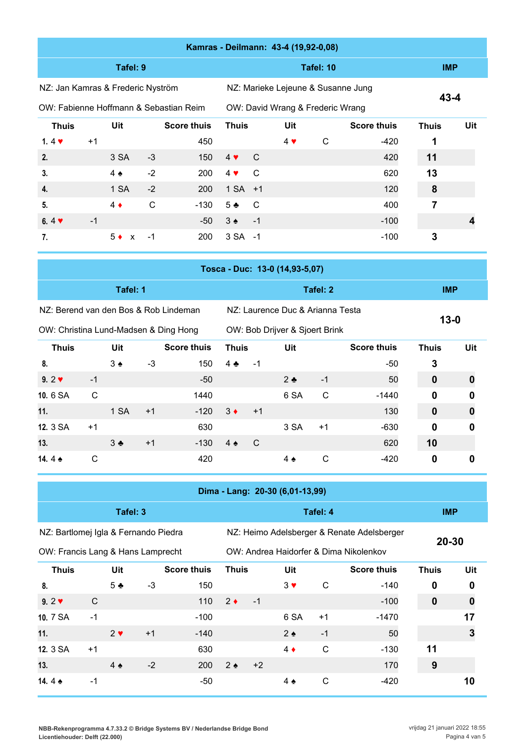|                                   | Kamras - Deilmann: 43-4 (19,92-0,08)   |               |              |                    |                                           |               |                                    |           |        |            |   |  |  |  |
|-----------------------------------|----------------------------------------|---------------|--------------|--------------------|-------------------------------------------|---------------|------------------------------------|-----------|--------|------------|---|--|--|--|
|                                   |                                        | Tafel: 9      |              |                    |                                           |               |                                    | Tafel: 10 |        | <b>IMP</b> |   |  |  |  |
| NZ: Jan Kamras & Frederic Nyström |                                        |               |              |                    |                                           |               | NZ: Marieke Lejeune & Susanne Jung |           |        | $43 - 4$   |   |  |  |  |
|                                   | OW: Fabienne Hoffmann & Sebastian Reim |               |              |                    |                                           |               | OW: David Wrang & Frederic Wrang   |           |        |            |   |  |  |  |
| <b>Thuis</b>                      |                                        | Uit           |              | <b>Score thuis</b> | <b>Score thuis</b><br><b>Thuis</b><br>Uit |               |                                    |           |        |            |   |  |  |  |
| 1.4 $\blacktriangledown$          | $+1$                                   |               |              | 450                |                                           |               | $4 \vee$                           | С         | -420   | 1          |   |  |  |  |
| 2.                                |                                        | 3 SA          | $-3$         | 150                | $4 \vee$                                  | $\mathcal{C}$ |                                    |           | 420    | 11         |   |  |  |  |
| 3.                                |                                        | $4 \triangle$ | $-2$         | 200                | $4 \cdot$                                 | C             |                                    |           | 620    | 13         |   |  |  |  |
| 4.                                |                                        | 1 SA          | $-2$         | 200                | $1 SA + 1$                                |               |                                    |           | 120    | 8          |   |  |  |  |
| 5.                                |                                        | $4 \bullet$   | $\mathsf{C}$ | $-130$             | $5 -$                                     | - C           |                                    |           | 400    | 7          |   |  |  |  |
| 6.4 $\blacktriangledown$          | $-1$                                   |               |              | -50                | $3 \triangle$                             | $-1$          |                                    |           | $-100$ |            | 4 |  |  |  |
| 7.                                |                                        | $5 \bullet x$ | -1           | 200                | 3 SA -1                                   |               |                                    |           | $-100$ | 3          |   |  |  |  |

|                                       | Tosca - Duc: 13-0 (14,93-5,07) |                   |      |                    |               |      |                                  |              |        |             |   |  |  |
|---------------------------------------|--------------------------------|-------------------|------|--------------------|---------------|------|----------------------------------|--------------|--------|-------------|---|--|--|
|                                       |                                | Tafel: 1          |      |                    |               |      |                                  | Tafel: 2     |        | <b>IMP</b>  |   |  |  |
| NZ: Berend van den Bos & Rob Lindeman |                                |                   |      |                    |               |      | NZ: Laurence Duc & Arianna Testa |              |        |             |   |  |  |
| OW: Christina Lund-Madsen & Ding Hong |                                |                   |      |                    |               |      | OW: Bob Drijver & Sjoert Brink   |              |        | $13 - 0$    |   |  |  |
| <b>Thuis</b>                          |                                | Uit               |      | <b>Score thuis</b> | <b>Thuis</b>  |      | <b>Thuis</b>                     | Uit          |        |             |   |  |  |
| 8.                                    |                                | $3 \triangle$     | $-3$ | 150                | $4 \cdot$     | $-1$ |                                  |              | $-50$  | 3           |   |  |  |
| $9.2$ $\blacktriangledown$            | $-1$                           |                   |      | $-50$              |               |      | $2 \bullet$                      | $-1$         | 50     | $\mathbf 0$ | 0 |  |  |
| 10.6 SA                               | С                              |                   |      | 1440               |               |      | 6 SA                             | $\mathsf{C}$ | -1440  | $\mathbf 0$ | 0 |  |  |
| 11.                                   |                                | 1 SA              | $+1$ | $-120$             | $3 \bullet$   | $+1$ |                                  |              | 130    | $\mathbf 0$ | 0 |  |  |
| <b>12. 3 SA</b>                       | $+1$                           |                   |      | 630                |               |      | 3 SA                             | $+1$         | $-630$ | $\mathbf 0$ | 0 |  |  |
| 13.                                   |                                | $3 \triangleleft$ | $+1$ | $-130$             | $4 \triangle$ | - C  |                                  |              | 620    | 10          |   |  |  |
| 14.4 $\triangle$                      | С                              |                   |      | 420                |               |      | $4 \triangle$                    | С            | -420   | 0           | Ū |  |  |

| Dima - Lang: 20-30 (6,01-13,99)   |      |                |                                      |                    |               |      |                   |              |                                            |              |     |  |
|-----------------------------------|------|----------------|--------------------------------------|--------------------|---------------|------|-------------------|--------------|--------------------------------------------|--------------|-----|--|
|                                   |      | Tafel: 3       |                                      |                    |               |      |                   | Tafel: 4     |                                            | <b>IMP</b>   |     |  |
|                                   |      |                | NZ: Bartlomej Igla & Fernando Piedra |                    |               |      |                   |              | NZ: Heimo Adelsberger & Renate Adelsberger | 20-30        |     |  |
| OW: Francis Lang & Hans Lamprecht |      |                |                                      |                    |               |      |                   |              | OW: Andrea Haidorfer & Dima Nikolenkov     |              |     |  |
| <b>Thuis</b>                      |      | Uit            |                                      | <b>Score thuis</b> | <b>Thuis</b>  |      | Uit               |              | <b>Score thuis</b>                         | <b>Thuis</b> | Uit |  |
| 8.                                |      | 5 <sub>2</sub> | $-3$                                 | 150                |               |      | $3 \vee$          | $\mathsf{C}$ | $-140$                                     | $\mathbf 0$  | 0   |  |
| $9.2 \blacktriangleright$         | C    |                |                                      | 110                | $2 \bullet$   | $-1$ |                   |              | $-100$                                     | $\mathbf 0$  | 0   |  |
| 10. 7 SA                          | $-1$ |                |                                      | $-100$             |               |      | 6 SA              | $+1$         | $-1470$                                    |              | 17  |  |
| 11.                               |      | $2 \vee$       | $+1$                                 | $-140$             |               |      | $2 \triangleleft$ | $-1$         | 50                                         |              | 3   |  |
| 12. 3 SA                          | $+1$ |                |                                      | 630                |               |      | $4 \bullet$       | $\mathsf{C}$ | $-130$                                     | 11           |     |  |
| 13.                               |      | $4 \triangle$  | $-2$                                 | 200                | $2 \triangle$ | $+2$ |                   |              | 170                                        | 9            |     |  |
| 14.4 $\bullet$                    | $-1$ |                |                                      | -50                |               |      | $4 \triangle$     | C            | -420                                       |              | 10  |  |